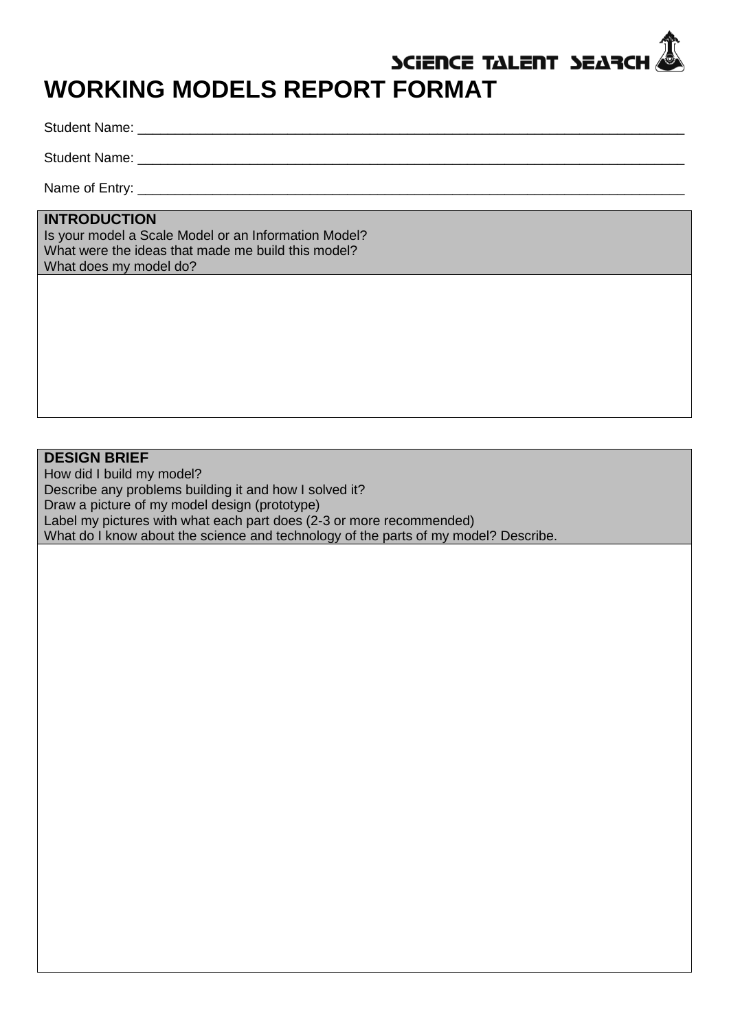# SCIENCE TALENT SEARCH **WORKING MODELS REPORT FORMAT**

Student Name: \_\_\_\_\_\_\_\_\_\_\_\_\_\_\_\_\_\_\_\_\_\_\_\_\_\_\_\_\_\_\_\_\_\_\_\_\_\_\_\_\_\_\_\_\_\_\_\_\_\_\_\_\_\_\_\_\_\_\_\_\_\_\_\_\_\_\_\_\_\_\_\_\_

Student Name:

Name of Entry: \_\_\_\_\_\_\_\_\_\_\_\_\_\_\_\_\_\_\_\_\_\_\_\_\_\_\_\_\_\_\_\_\_\_\_\_\_\_\_\_\_\_\_\_\_\_\_\_\_\_\_\_\_\_\_\_\_\_\_\_\_\_\_\_\_\_\_\_\_\_\_\_\_

## **INTRODUCTION**

Is your model a Scale Model or an Information Model? What were the ideas that made me build this model? What does my model do?

## **DESIGN BRIEF**

How did I build my model? Describe any problems building it and how I solved it? Draw a picture of my model design (prototype) Label my pictures with what each part does (2-3 or more recommended) What do I know about the science and technology of the parts of my model? Describe.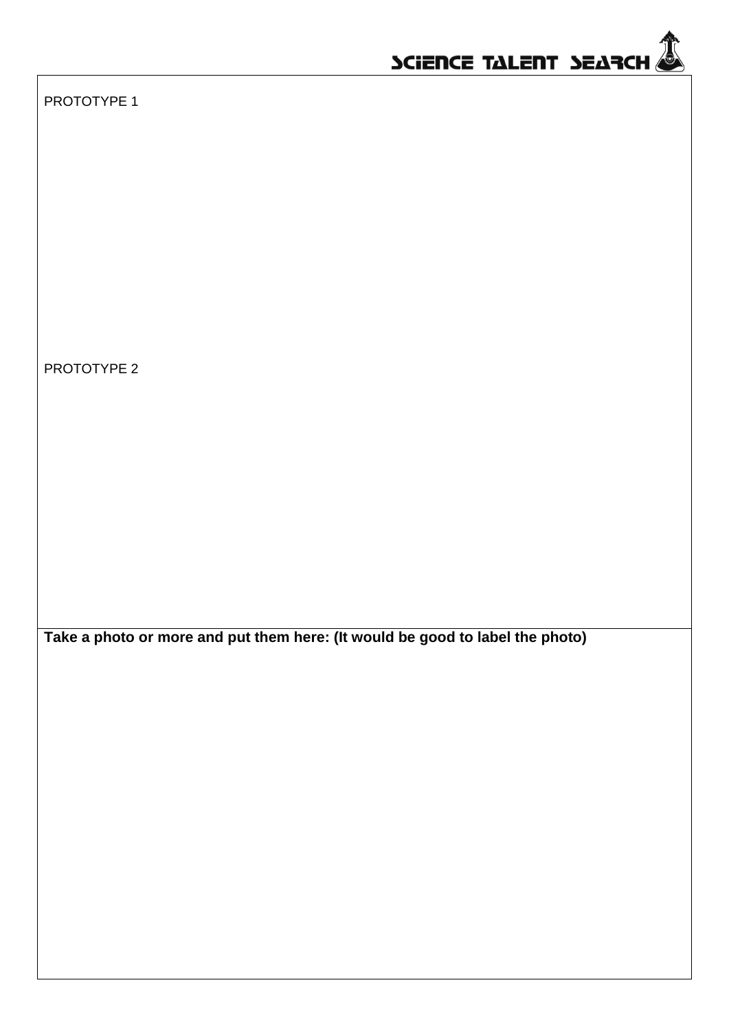

PROTOTYPE 1

PROTOTYPE 2

**Take a photo or more and put them here: (It would be good to label the photo)**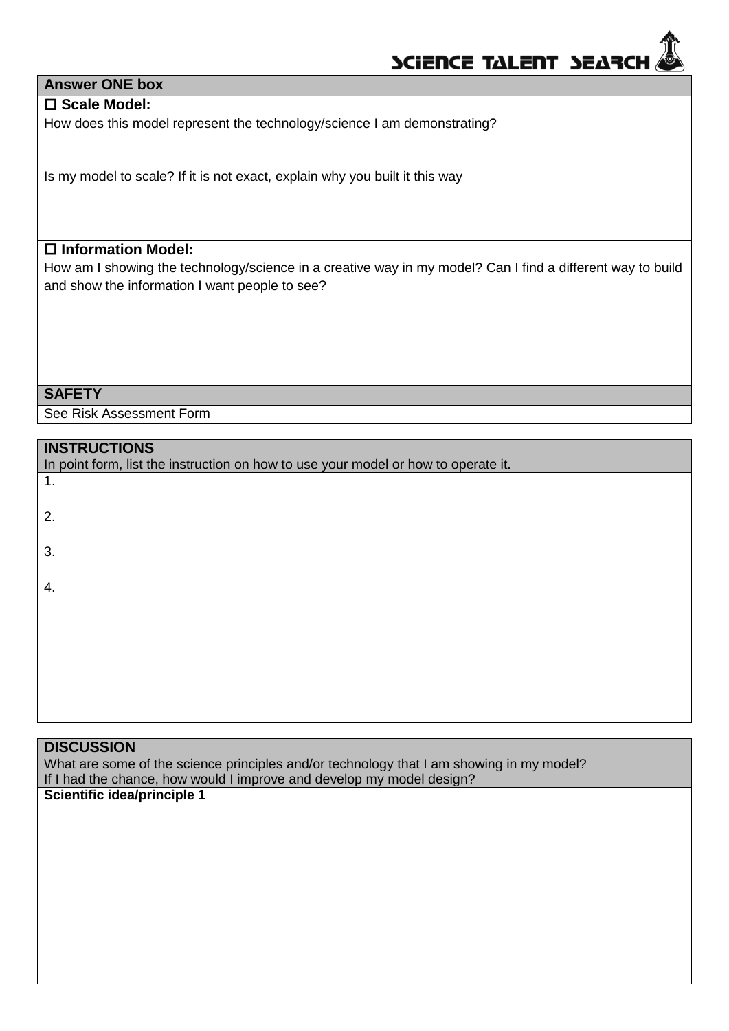

## **Answer ONE box**

## **Scale Model:**

How does this model represent the technology/science I am demonstrating?

Is my model to scale? If it is not exact, explain why you built it this way

## **Information Model:**

How am I showing the technology/science in a creative way in my model? Can I find a different way to build and show the information I want people to see?

#### **SAFETY**

See Risk Assessment Form

| <b>INSTRUCTIONS</b><br>In point form, list the instruction on how to use your model or how to operate it. |
|-----------------------------------------------------------------------------------------------------------|
| 1.                                                                                                        |
| 2.                                                                                                        |
| 3.                                                                                                        |
| 4.                                                                                                        |
|                                                                                                           |
|                                                                                                           |
|                                                                                                           |

#### **DISCUSSION**

What are some of the science principles and/or technology that I am showing in my model? If I had the chance, how would I improve and develop my model design?

## **Scientific idea/principle 1**